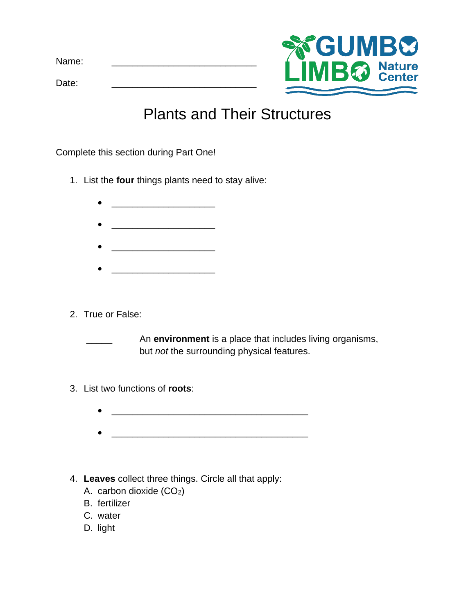Name:

Date: \_\_\_\_\_\_\_\_\_\_\_\_\_\_\_\_\_\_\_\_\_\_\_\_\_\_\_\_



## Plants and Their Structures

Complete this section during Part One!

- 1. List the **four** things plants need to stay alive:
	-
	- \_\_\_\_\_\_\_\_\_\_\_\_\_\_\_\_\_\_\_\_
	- \_\_\_\_\_\_\_\_\_\_\_\_\_\_\_\_\_\_\_\_
	- $\mathcal{P}=\{p_1,\ldots,p_{n-1}\}$  . The set of  $\mathcal{P}=\{p_1,\ldots,p_{n-1}\}$
- 2. True or False:

An **environment** is a place that includes living organisms, but *not* the surrounding physical features.

- 3. List two functions of **roots**:
	-
	-
- 4. **Leaves** collect three things. Circle all that apply:
	- A. carbon dioxide (CO2)
	- B. fertilizer
	- C. water
	- D. light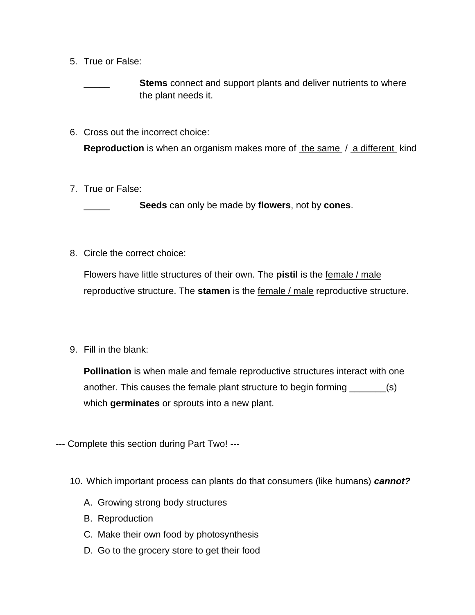5. True or False:

**Stems** connect and support plants and deliver nutrients to where the plant needs it.

6. Cross out the incorrect choice:

**Reproduction** is when an organism makes more of the same / a different kind

7. True or False:

\_\_\_\_\_ **Seeds** can only be made by **flowers**, not by **cones**.

8. Circle the correct choice:

Flowers have little structures of their own. The **pistil** is the female / male reproductive structure. The **stamen** is the female / male reproductive structure.

9. Fill in the blank:

**Pollination** is when male and female reproductive structures interact with one another. This causes the female plant structure to begin forming \_\_\_\_\_\_\_(s) which **germinates** or sprouts into a new plant.

--- Complete this section during Part Two! ---

- 10. Which important process can plants do that consumers (like humans) *cannot?*
	- A. Growing strong body structures
	- B. Reproduction
	- C. Make their own food by photosynthesis
	- D. Go to the grocery store to get their food